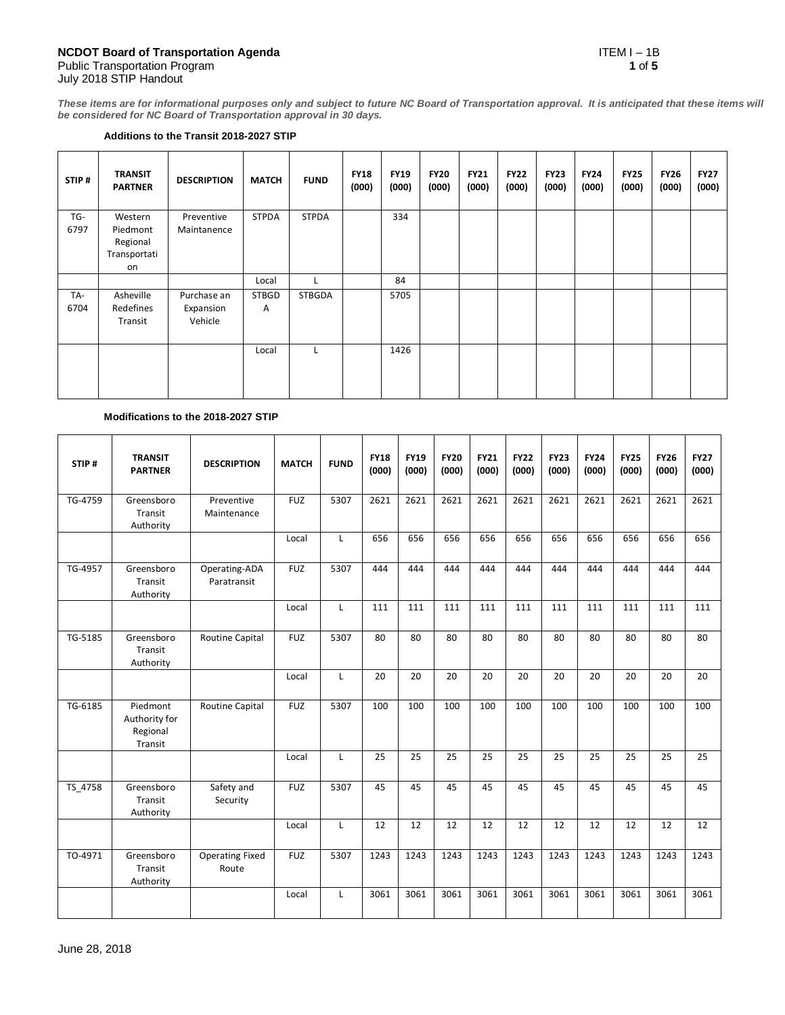**These items are for informational purposes only and subject to future NC Board of Transportation approval. It is anticipated that these items will be considered for NC Board of Transportation approval in 30 days.**

#### **Additions to the Transit 2018-2027 STIP**

| STIP# | <b>TRANSIT</b><br><b>PARTNER</b> | <b>DESCRIPTION</b> | <b>MATCH</b> | <b>FUND</b>   | <b>FY18</b><br>(000) | <b>FY19</b><br>(000) | <b>FY20</b><br>(000) | <b>FY21</b><br>(000) | <b>FY22</b><br>(000) | <b>FY23</b><br>(000) | <b>FY24</b><br>(000) | <b>FY25</b><br>(000) | <b>FY26</b><br>(000) | <b>FY27</b><br>(000) |
|-------|----------------------------------|--------------------|--------------|---------------|----------------------|----------------------|----------------------|----------------------|----------------------|----------------------|----------------------|----------------------|----------------------|----------------------|
| TG-   | Western                          | Preventive         | <b>STPDA</b> | <b>STPDA</b>  |                      | 334                  |                      |                      |                      |                      |                      |                      |                      |                      |
| 6797  | Piedmont                         | Maintanence        |              |               |                      |                      |                      |                      |                      |                      |                      |                      |                      |                      |
|       | Regional                         |                    |              |               |                      |                      |                      |                      |                      |                      |                      |                      |                      |                      |
|       | Transportati                     |                    |              |               |                      |                      |                      |                      |                      |                      |                      |                      |                      |                      |
|       | on                               |                    |              |               |                      |                      |                      |                      |                      |                      |                      |                      |                      |                      |
|       |                                  |                    | Local        |               |                      | 84                   |                      |                      |                      |                      |                      |                      |                      |                      |
| TA-   | Asheville                        | Purchase an        | <b>STBGD</b> | <b>STBGDA</b> |                      | 5705                 |                      |                      |                      |                      |                      |                      |                      |                      |
| 6704  | Redefines                        | Expansion          | Α            |               |                      |                      |                      |                      |                      |                      |                      |                      |                      |                      |
|       | Transit                          | Vehicle            |              |               |                      |                      |                      |                      |                      |                      |                      |                      |                      |                      |
|       |                                  |                    |              |               |                      |                      |                      |                      |                      |                      |                      |                      |                      |                      |
|       |                                  |                    | Local        |               |                      | 1426                 |                      |                      |                      |                      |                      |                      |                      |                      |
|       |                                  |                    |              |               |                      |                      |                      |                      |                      |                      |                      |                      |                      |                      |
|       |                                  |                    |              |               |                      |                      |                      |                      |                      |                      |                      |                      |                      |                      |
|       |                                  |                    |              |               |                      |                      |                      |                      |                      |                      |                      |                      |                      |                      |

# **Modifications to the 2018-2027 STIP**

| STIP#   | <b>TRANSIT</b><br><b>PARTNER</b>                 | <b>DESCRIPTION</b>              | <b>MATCH</b> | <b>FUND</b> | <b>FY18</b><br>(000) | <b>FY19</b><br>(000) | <b>FY20</b><br>(000) | <b>FY21</b><br>(000) | <b>FY22</b><br>(000) | <b>FY23</b><br>(000) | <b>FY24</b><br>(000) | <b>FY25</b><br>(000) | <b>FY26</b><br>(000) | <b>FY27</b><br>(000) |
|---------|--------------------------------------------------|---------------------------------|--------------|-------------|----------------------|----------------------|----------------------|----------------------|----------------------|----------------------|----------------------|----------------------|----------------------|----------------------|
| TG-4759 | Greensboro<br>Transit<br>Authority               | Preventive<br>Maintenance       | <b>FUZ</b>   | 5307        | 2621                 | 2621                 | 2621                 | 2621                 | 2621                 | 2621                 | 2621                 | 2621                 | 2621                 | 2621                 |
|         |                                                  |                                 | Local        | L           | 656                  | 656                  | 656                  | 656                  | 656                  | 656                  | 656                  | 656                  | 656                  | 656                  |
| TG-4957 | Greensboro<br>Transit<br>Authority               | Operating-ADA<br>Paratransit    | <b>FUZ</b>   | 5307        | 444                  | 444                  | 444                  | 444                  | 444                  | 444                  | 444                  | 444                  | 444                  | 444                  |
|         |                                                  |                                 | Local        | L           | 111                  | 111                  | 111                  | 111                  | 111                  | 111                  | 111                  | 111                  | 111                  | 111                  |
| TG-5185 | Greensboro<br>Transit<br>Authority               | <b>Routine Capital</b>          | <b>FUZ</b>   | 5307        | 80                   | 80                   | 80                   | 80                   | 80                   | 80                   | 80                   | 80                   | 80                   | 80                   |
|         |                                                  |                                 | Local        | L           | 20                   | 20                   | 20                   | 20                   | 20                   | 20                   | 20                   | 20                   | 20                   | 20                   |
| TG-6185 | Piedmont<br>Authority for<br>Regional<br>Transit | Routine Capital                 | <b>FUZ</b>   | 5307        | 100                  | 100                  | 100                  | 100                  | 100                  | 100                  | 100                  | 100                  | 100                  | 100                  |
|         |                                                  |                                 | Local        | L           | 25                   | 25                   | 25                   | 25                   | 25                   | 25                   | 25                   | 25                   | 25                   | 25                   |
| TS 4758 | Greensboro<br>Transit<br>Authority               | Safety and<br>Security          | <b>FUZ</b>   | 5307        | 45                   | 45                   | 45                   | 45                   | 45                   | 45                   | 45                   | 45                   | 45                   | 45                   |
|         |                                                  |                                 | Local        | L           | 12                   | 12                   | 12                   | 12                   | 12                   | 12                   | 12                   | 12                   | 12                   | 12                   |
| TO-4971 | Greensboro<br>Transit<br>Authority               | <b>Operating Fixed</b><br>Route | <b>FUZ</b>   | 5307        | 1243                 | 1243                 | 1243                 | 1243                 | 1243                 | 1243                 | 1243                 | 1243                 | 1243                 | 1243                 |
|         |                                                  |                                 | Local        | L           | 3061                 | 3061                 | 3061                 | 3061                 | 3061                 | 3061                 | 3061                 | 3061                 | 3061                 | 3061                 |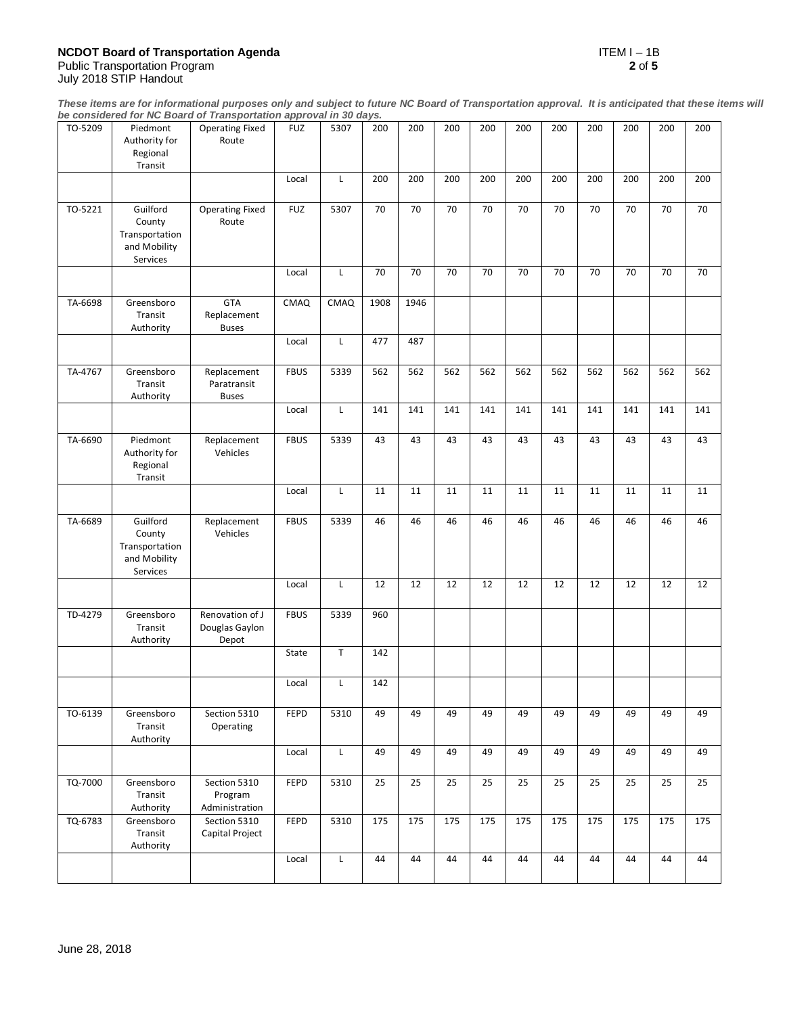### **NCDOT Board of Transportation Agenda** ITEM I – 1B Public Transportation Program **2** of **5**

July 2018 STIP Handout

**These items are for informational purposes only and subject to future NC Board of Transportation approval. It is anticipated that these items will be considered for NC Board of Transportation approval in 30 days.**

| TO-5209 | Piedmont<br>Authority for                                        | <b>Operating Fixed</b><br>Route            | <b>FUZ</b>  | 5307 | 200  | 200  | 200 | 200             | 200 | 200             | 200 | 200 | 200 | 200 |
|---------|------------------------------------------------------------------|--------------------------------------------|-------------|------|------|------|-----|-----------------|-----|-----------------|-----|-----|-----|-----|
|         | Regional<br>Transit                                              |                                            |             |      |      |      |     |                 |     |                 |     |     |     |     |
|         |                                                                  |                                            | Local       | L    | 200  | 200  | 200 | 200             | 200 | 200             | 200 | 200 | 200 | 200 |
| TO-5221 | Guilford<br>County<br>Transportation<br>and Mobility<br>Services | <b>Operating Fixed</b><br>Route            | <b>FUZ</b>  | 5307 | 70   | 70   | 70  | 70              | 70  | 70              | 70  | 70  | 70  | 70  |
|         |                                                                  |                                            | Local       | Г    | 70   | 70   | 70  | 70              | 70  | 70              | 70  | 70  | 70  | 70  |
| TA-6698 | Greensboro<br>Transit<br>Authority                               | <b>GTA</b><br>Replacement<br><b>Buses</b>  | CMAQ        | CMAQ | 1908 | 1946 |     |                 |     |                 |     |     |     |     |
|         |                                                                  |                                            | Local       | L    | 477  | 487  |     |                 |     |                 |     |     |     |     |
| TA-4767 | Greensboro<br>Transit<br>Authority                               | Replacement<br>Paratransit<br><b>Buses</b> | <b>FBUS</b> | 5339 | 562  | 562  | 562 | 562             | 562 | 562             | 562 | 562 | 562 | 562 |
|         |                                                                  |                                            | Local       | L    | 141  | 141  | 141 | 141             | 141 | 141             | 141 | 141 | 141 | 141 |
| TA-6690 | Piedmont<br>Authority for<br>Regional<br>Transit                 | Replacement<br>Vehicles                    | <b>FBUS</b> | 5339 | 43   | 43   | 43  | 43              | 43  | 43              | 43  | 43  | 43  | 43  |
|         |                                                                  |                                            | Local       | L    | 11   | 11   | 11  | 11              | 11  | 11              | 11  | 11  | 11  | 11  |
| TA-6689 | Guilford<br>County<br>Transportation<br>and Mobility<br>Services | Replacement<br>Vehicles                    | <b>FBUS</b> | 5339 | 46   | 46   | 46  | 46              | 46  | 46              | 46  | 46  | 46  | 46  |
|         |                                                                  |                                            | Local       | Г    | 12   | 12   | 12  | 12              | 12  | 12              | 12  | 12  | 12  | 12  |
| TD-4279 | Greensboro<br>Transit<br>Authority                               | Renovation of J<br>Douglas Gaylon<br>Depot | <b>FBUS</b> | 5339 | 960  |      |     |                 |     |                 |     |     |     |     |
|         |                                                                  |                                            | State       | T    | 142  |      |     |                 |     |                 |     |     |     |     |
|         |                                                                  |                                            | Local       | L    | 142  |      |     |                 |     |                 |     |     |     |     |
| TO-6139 | Greensboro<br>Transit<br>Authority                               | Section 5310<br>Operating                  | FEPD        | 5310 | 49   | 49   | 49  | 49              | 49  | 49              | 49  | 49  | 49  | 49  |
|         |                                                                  |                                            | Local       | L    | 49   | 49   | 49  | 49              | 49  | 49              | 49  | 49  | 49  | 49  |
| TQ-7000 | Greensboro<br>Transit<br>Authority                               | Section 5310<br>Program<br>Administration  | <b>FEPD</b> | 5310 | 25   | 25   | 25  | $\overline{25}$ | 25  | $\overline{25}$ | 25  | 25  | 25  | 25  |
| TQ-6783 | Greensboro<br>Transit<br>Authority                               | Section 5310<br>Capital Project            | FEPD        | 5310 | 175  | 175  | 175 | 175             | 175 | 175             | 175 | 175 | 175 | 175 |
|         |                                                                  |                                            | Local       | L    | 44   | 44   | 44  | 44              | 44  | 44              | 44  | 44  | 44  | 44  |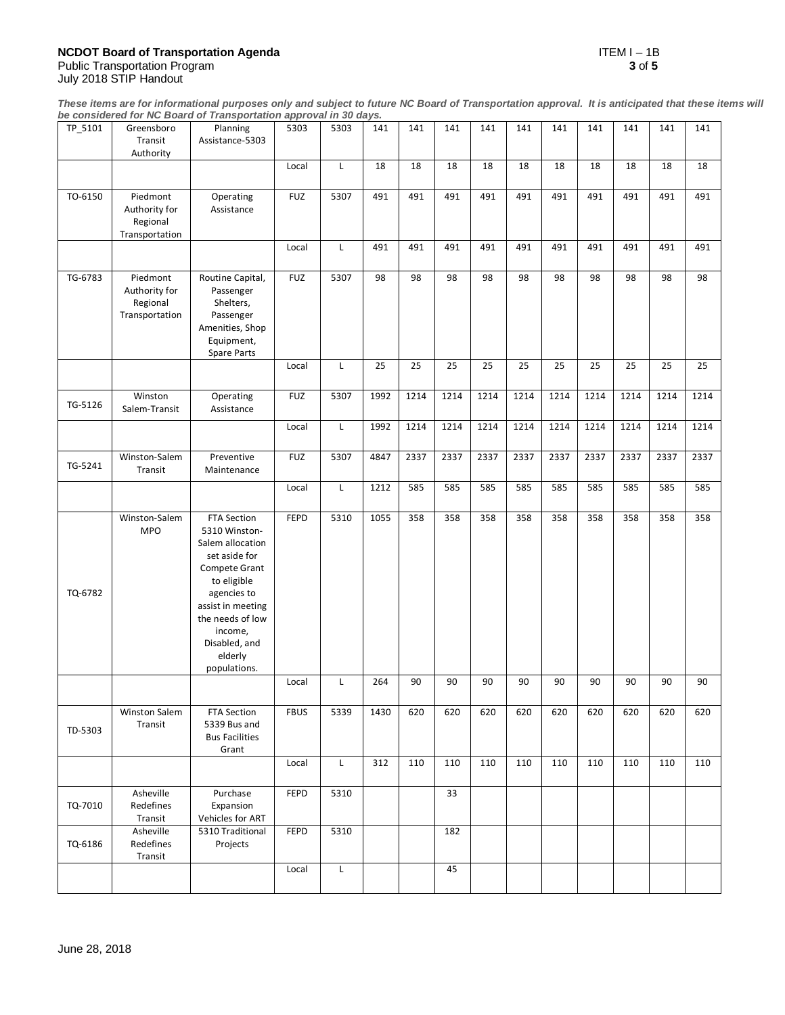## **NCDOT Board of Transportation Agenda** ITEM I – 1B Public Transportation Program **3** of **5**

**These items are for informational purposes only and subject to future NC Board of Transportation approval. It is anticipated that these items will be considered for NC Board of Transportation approval in 30 days.**

| TP_5101 | Greensboro<br>Transit<br>Authority                      | Planning<br>Assistance-5303                                                                                                                                                                                      | 5303        | 5303 | 141  | 141  | 141  | 141  | 141  | 141  | 141  | 141  | 141  | 141  |
|---------|---------------------------------------------------------|------------------------------------------------------------------------------------------------------------------------------------------------------------------------------------------------------------------|-------------|------|------|------|------|------|------|------|------|------|------|------|
|         |                                                         |                                                                                                                                                                                                                  | Local       | Г    | 18   | 18   | 18   | 18   | 18   | 18   | 18   | 18   | 18   | 18   |
| TO-6150 | Piedmont<br>Authority for<br>Regional<br>Transportation | Operating<br>Assistance                                                                                                                                                                                          | <b>FUZ</b>  | 5307 | 491  | 491  | 491  | 491  | 491  | 491  | 491  | 491  | 491  | 491  |
|         |                                                         |                                                                                                                                                                                                                  | Local       | L    | 491  | 491  | 491  | 491  | 491  | 491  | 491  | 491  | 491  | 491  |
| TG-6783 | Piedmont<br>Authority for<br>Regional<br>Transportation | Routine Capital,<br>Passenger<br>Shelters,<br>Passenger<br>Amenities, Shop<br>Equipment,<br>Spare Parts                                                                                                          | <b>FUZ</b>  | 5307 | 98   | 98   | 98   | 98   | 98   | 98   | 98   | 98   | 98   | 98   |
|         |                                                         |                                                                                                                                                                                                                  | Local       | Г    | 25   | 25   | 25   | 25   | 25   | 25   | 25   | 25   | 25   | 25   |
| TG-5126 | Winston<br>Salem-Transit                                | Operating<br>Assistance                                                                                                                                                                                          | <b>FUZ</b>  | 5307 | 1992 | 1214 | 1214 | 1214 | 1214 | 1214 | 1214 | 1214 | 1214 | 1214 |
|         |                                                         |                                                                                                                                                                                                                  | Local       | L    | 1992 | 1214 | 1214 | 1214 | 1214 | 1214 | 1214 | 1214 | 1214 | 1214 |
| TG-5241 | Winston-Salem<br>Transit                                | Preventive<br>Maintenance                                                                                                                                                                                        | <b>FUZ</b>  | 5307 | 4847 | 2337 | 2337 | 2337 | 2337 | 2337 | 2337 | 2337 | 2337 | 2337 |
|         |                                                         |                                                                                                                                                                                                                  | Local       | L    | 1212 | 585  | 585  | 585  | 585  | 585  | 585  | 585  | 585  | 585  |
| TQ-6782 | Winston-Salem<br><b>MPO</b>                             | FTA Section<br>5310 Winston-<br>Salem allocation<br>set aside for<br>Compete Grant<br>to eligible<br>agencies to<br>assist in meeting<br>the needs of low<br>income,<br>Disabled, and<br>elderly<br>populations. | <b>FEPD</b> | 5310 | 1055 | 358  | 358  | 358  | 358  | 358  | 358  | 358  | 358  | 358  |
|         |                                                         |                                                                                                                                                                                                                  | Local       | Г    | 264  | 90   | 90   | 90   | 90   | 90   | 90   | 90   | 90   | 90   |
| TD-5303 | Winston Salem<br>Transit                                | FTA Section<br>5339 Bus and<br><b>Bus Facilities</b><br>Grant                                                                                                                                                    | <b>FBUS</b> | 5339 | 1430 | 620  | 620  | 620  | 620  | 620  | 620  | 620  | 620  | 620  |
|         |                                                         |                                                                                                                                                                                                                  | Local       | L    | 312  | 110  | 110  | 110  | 110  | 110  | 110  | 110  | 110  | 110  |
| TQ-7010 | Asheville<br>Redefines<br>Transit                       | Purchase<br>Expansion<br>Vehicles for ART                                                                                                                                                                        | <b>FEPD</b> | 5310 |      |      | 33   |      |      |      |      |      |      |      |
| TQ-6186 | Asheville<br>Redefines<br>Transit                       | 5310 Traditional<br>Projects                                                                                                                                                                                     | <b>FEPD</b> | 5310 |      |      | 182  |      |      |      |      |      |      |      |
|         |                                                         |                                                                                                                                                                                                                  | Local       | Г    |      |      | 45   |      |      |      |      |      |      |      |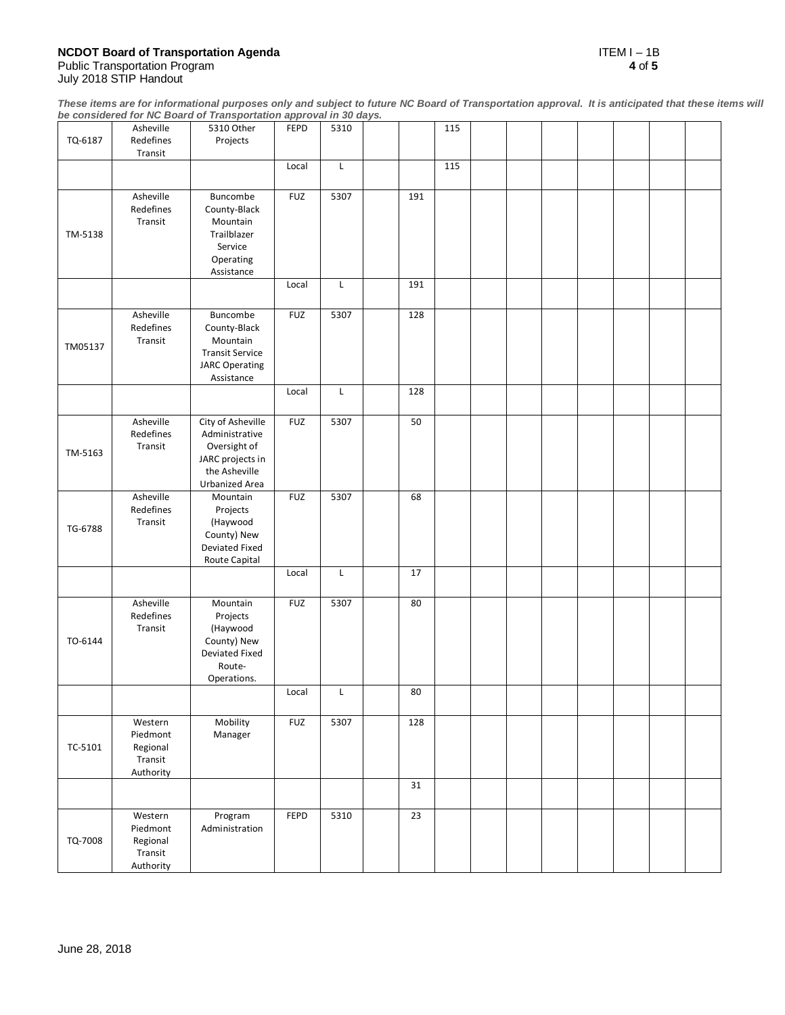# **NCDOT Board of Transportation Agenda** ITEM I – 1B Public Transportation Program **4** of **5**

July 2018 STIP Handout

**These items are for informational purposes only and subject to future NC Board of Transportation approval. It is anticipated that these items will be considered for NC Board of Transportation approval in 30 days.**

| TQ-6187 | Asheville<br>Redefines<br>Transit                       | 5310 Other<br>Projects                                                                                            | FEPD        | 5310         |     | 115 |  |  |  |  |
|---------|---------------------------------------------------------|-------------------------------------------------------------------------------------------------------------------|-------------|--------------|-----|-----|--|--|--|--|
|         |                                                         |                                                                                                                   | Local       | $\mathsf{L}$ |     | 115 |  |  |  |  |
| TM-5138 | Asheville<br>Redefines<br>Transit                       | Buncombe<br>County-Black<br>Mountain<br>Trailblazer<br>Service<br>Operating<br>Assistance                         | <b>FUZ</b>  | 5307         | 191 |     |  |  |  |  |
|         |                                                         |                                                                                                                   | Local       | L            | 191 |     |  |  |  |  |
| TM05137 | Asheville<br>Redefines<br>Transit                       | Buncombe<br>County-Black<br>Mountain<br><b>Transit Service</b><br><b>JARC Operating</b><br>Assistance             | <b>FUZ</b>  | 5307         | 128 |     |  |  |  |  |
|         |                                                         |                                                                                                                   | Local       | $\mathsf{L}$ | 128 |     |  |  |  |  |
| TM-5163 | Asheville<br>Redefines<br>Transit                       | City of Asheville<br>Administrative<br>Oversight of<br>JARC projects in<br>the Asheville<br><b>Urbanized Area</b> | <b>FUZ</b>  | 5307         | 50  |     |  |  |  |  |
| TG-6788 | Asheville<br>Redefines<br>Transit                       | Mountain<br>Projects<br>(Haywood<br>County) New<br>Deviated Fixed<br>Route Capital                                | <b>FUZ</b>  | 5307         | 68  |     |  |  |  |  |
|         |                                                         |                                                                                                                   | Local       | L            | 17  |     |  |  |  |  |
| TO-6144 | Asheville<br>Redefines<br>Transit                       | Mountain<br>Projects<br>(Haywood<br>County) New<br>Deviated Fixed<br>Route-<br>Operations.                        | <b>FUZ</b>  | 5307         | 80  |     |  |  |  |  |
|         |                                                         |                                                                                                                   | Local       | L            | 80  |     |  |  |  |  |
| TC-5101 | Western<br>Piedmont<br>Regional<br>Transit<br>Authority | Mobility<br>Manager                                                                                               | <b>FUZ</b>  | 5307         | 128 |     |  |  |  |  |
|         |                                                         |                                                                                                                   |             |              | 31  |     |  |  |  |  |
| TQ-7008 | Western<br>Piedmont<br>Regional<br>Transit<br>Authority | Program<br>Administration                                                                                         | <b>FEPD</b> | 5310         | 23  |     |  |  |  |  |